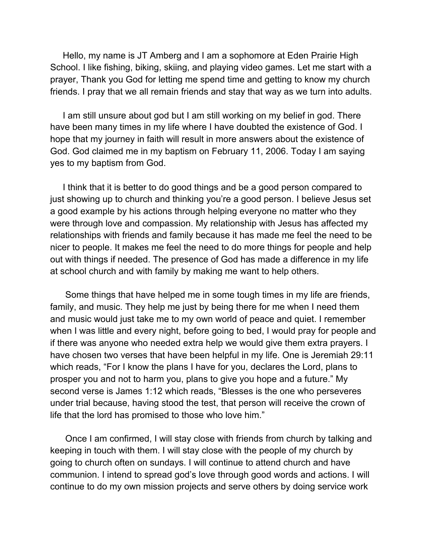Hello, my name is JT Amberg and I am a sophomore at Eden Prairie High School. I like fishing, biking, skiing, and playing video games. Let me start with a prayer, Thank you God for letting me spend time and getting to know my church friends. I pray that we all remain friends and stay that way as we turn into adults.

I am still unsure about god but I am still working on my belief in god. There have been many times in my life where I have doubted the existence of God. I hope that my journey in faith will result in more answers about the existence of God. God claimed me in my baptism on February 11, 2006. Today I am saying yes to my baptism from God.

I think that it is better to do good things and be a good person compared to just showing up to church and thinking you're a good person. I believe Jesus set a good example by his actions through helping everyone no matter who they were through love and compassion. My relationship with Jesus has affected my relationships with friends and family because it has made me feel the need to be nicer to people. It makes me feel the need to do more things for people and help out with things if needed. The presence of God has made a difference in my life at school church and with family by making me want to help others.

Some things that have helped me in some tough times in my life are friends, family, and music. They help me just by being there for me when I need them and music would just take me to my own world of peace and quiet. I remember when I was little and every night, before going to bed, I would pray for people and if there was anyone who needed extra help we would give them extra prayers. I have chosen two verses that have been helpful in my life. One is Jeremiah 29:11 which reads, "For I know the plans I have for you, declares the Lord, plans to prosper you and not to harm you, plans to give you hope and a future." My second verse is James 1:12 which reads, "Blesses is the one who perseveres under trial because, having stood the test, that person will receive the crown of life that the lord has promised to those who love him."

Once I am confirmed, I will stay close with friends from church by talking and keeping in touch with them. I will stay close with the people of my church by going to church often on sundays. I will continue to attend church and have communion. I intend to spread god's love through good words and actions. I will continue to do my own mission projects and serve others by doing service work